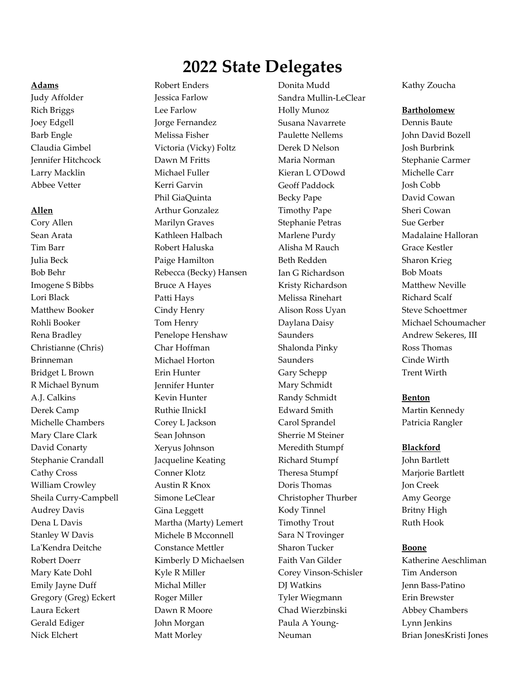# **2022 State Delegates**

### **Adams**

Judy Affolder Rich Briggs Joey Edgell Barb Engle Claudia Gimbel Jennifer Hitchcock Larry Macklin Abbee Vetter

### **Allen**

Cory Allen Sean Arata Tim Barr Julia Beck Bob Behr Imogene S Bibbs Lori Black Matthew Booker Rohli Booker Rena Bradley Christianne (Chris) Brinneman Bridget L Brown R Michael Bynum A.J. Calkins Derek Camp Michelle Chambers Mary Clare Clark David Conarty Stephanie Crandall Cathy Cross William Crowley Sheila Curry-Campbell Audrey Davis Dena L Davis Stanley W Davis La'Kendra Deitche Robert Doerr Mary Kate Dohl Emily Jayne Duff Gregory (Greg) Eckert Laura Eckert Gerald Ediger Nick Elchert

Robert Enders Jessica Farlow Lee Farlow Jorge Fernandez Melissa Fisher Victoria (Vicky) Foltz Dawn M Fritts Michael Fuller Kerri Garvin Phil GiaQuinta Arthur Gonzalez Marilyn Graves Kathleen Halbach Robert Haluska Paige Hamilton Rebecca (Becky) Hansen Bruce A Hayes Patti Hays Cindy Henry Tom Henry Penelope Henshaw Char Hoffman Michael Horton Erin Hunter Jennifer Hunter Kevin Hunter Ruthie IlnickI Corey L Jackson Sean Johnson Xeryus Johnson Jacqueline Keating Conner Klotz Austin R Knox Simone LeClear Gina Leggett Martha (Marty) Lemert Michele B Mcconnell Constance Mettler Kimberly D Michaelsen Kyle R Miller Michal Miller Roger Miller Dawn R Moore John Morgan Matt Morley

Donita Mudd Sandra Mullin-LeClear Holly Munoz Susana Navarrete Paulette Nellems Derek D Nelson Maria Norman Kieran L O'Dowd Geoff Paddock Becky Pape Timothy Pape Stephanie Petras Marlene Purdy Alisha M Rauch Beth Redden Ian G Richardson Kristy Richardson Melissa Rinehart Alison Ross Uyan Daylana Daisy Saunders Shalonda Pinky Saunders Gary Schepp Mary Schmidt Randy Schmidt Edward Smith Carol Sprandel Sherrie M Steiner Meredith Stumpf Richard Stumpf Theresa Stumpf Doris Thomas Christopher Thurber Kody Tinnel Timothy Trout Sara N Trovinger Sharon Tucker Faith Van Gilder Corey Vinson-Schisler DJ Watkins Tyler Wiegmann Chad Wierzbinski Paula A Young-Neuman

Kathy Zoucha

#### **Bartholomew**

Dennis Baute John David Bozell Josh Burbrink Stephanie Carmer Michelle Carr Josh Cobb David Cowan Sheri Cowan Sue Gerber Madalaine Halloran Grace Kestler Sharon Krieg Bob Moats Matthew Neville Richard Scalf Steve Schoettmer Michael Schoumacher Andrew Sekeres, III Ross Thomas Cinde Wirth Trent Wirth

#### **Benton**

Martin Kennedy Patricia Rangler

#### **Blackford**

John Bartlett Marjorie Bartlett Jon Creek Amy George Britny High Ruth Hook

### **Boone**

Katherine Aeschliman Tim Anderson Jenn Bass-Patino Erin Brewster Abbey Chambers Lynn Jenkins Brian JonesKristi Jones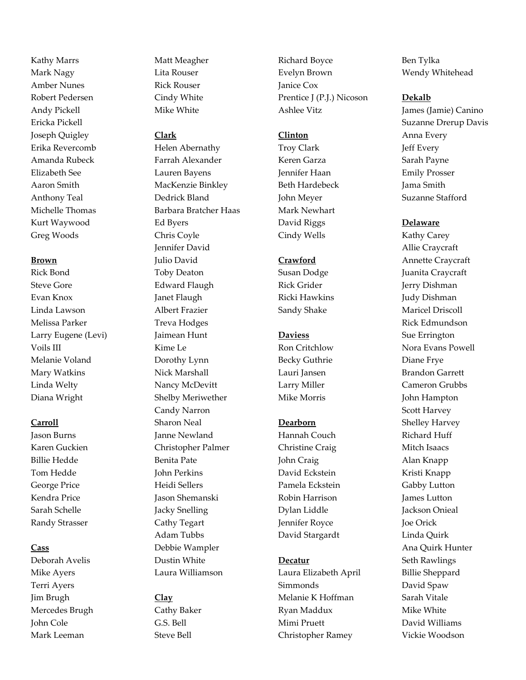Kathy Marrs Mark Nagy Amber Nunes Robert Pedersen Andy Pickell Ericka Pickell Joseph Quigley Erika Revercomb Amanda Rubeck Elizabeth See Aaron Smith Anthony Teal Michelle Thomas Kurt Waywood Greg Woods

### **Brown**

Rick Bond Steve Gore Evan Knox Linda Lawson Melissa Parker Larry Eugene (Levi) Voils III Melanie Voland Mary Watkins Linda Welty Diana Wright

# **Carroll**

Jason Burns Karen Guckien Billie Hedde Tom Hedde George Price Kendra Price Sarah Schelle Randy Strasser

### **Cass**

Deborah Avelis Mike Ayers Terri Ayers Jim Brugh Mercedes Brugh John Cole Mark Leeman

Matt Meagher Lita Rouser Rick Rouser Cindy White Mike White

# **Clark**

Helen Abernathy Farrah Alexander Lauren Bayens MacKenzie Binkley Dedrick Bland Barbara Bratcher Haas Ed Byers Chris Coyle Jennifer David Julio David Toby Deaton Edward Flaugh Janet Flaugh Albert Frazier Treva Hodges Jaimean Hunt Kime Le Dorothy Lynn Nick Marshall Nancy McDevitt Shelby Meriwether Candy Narron Sharon Neal Janne Newland Christopher Palmer Benita Pate John Perkins Heidi Sellers Jason Shemanski Jacky Snelling Cathy Tegart Adam Tubbs Debbie Wampler Dustin White Laura Williamson

# **Clay**

Cathy Baker G.S. Bell Steve Bell

Richard Boyce Evelyn Brown Janice Cox Prentice J (P.J.) Nicoson Ashlee Vitz

# **Clinton**

Troy Clark Keren Garza Jennifer Haan Beth Hardebeck John Meyer Mark Newhart David Riggs Cindy Wells

# **Crawford**

Susan Dodge Rick Grider Ricki Hawkins Sandy Shake

# **Daviess**

Ron Critchlow Becky Guthrie Lauri Jansen Larry Miller Mike Morris

# **Dearborn**

Hannah Couch Christine Craig John Craig David Eckstein Pamela Eckstein Robin Harrison Dylan Liddle Jennifer Royce David Stargardt

# **Decatur**

Laura Elizabeth April Simmonds Melanie K Hoffman Ryan Maddux Mimi Pruett Christopher Ramey

Ben Tylka Wendy Whitehead

# **Dekalb**

James (Jamie) Canino Suzanne Drerup Davis Anna Every Jeff Every Sarah Payne Emily Prosser Jama Smith Suzanne Stafford

# **Delaware**

Kathy Carey Allie Craycraft Annette Craycraft Juanita Craycraft Jerry Dishman Judy Dishman Maricel Driscoll Rick Edmundson Sue Errington Nora Evans Powell Diane Frye Brandon Garrett Cameron Grubbs John Hampton Scott Harvey Shelley Harvey Richard Huff Mitch Isaacs Alan Knapp Kristi Knapp Gabby Lutton James Lutton Jackson Onieal Joe Orick Linda Quirk Ana Quirk Hunter Seth Rawlings Billie Sheppard David Spaw Sarah Vitale Mike White David Williams Vickie Woodson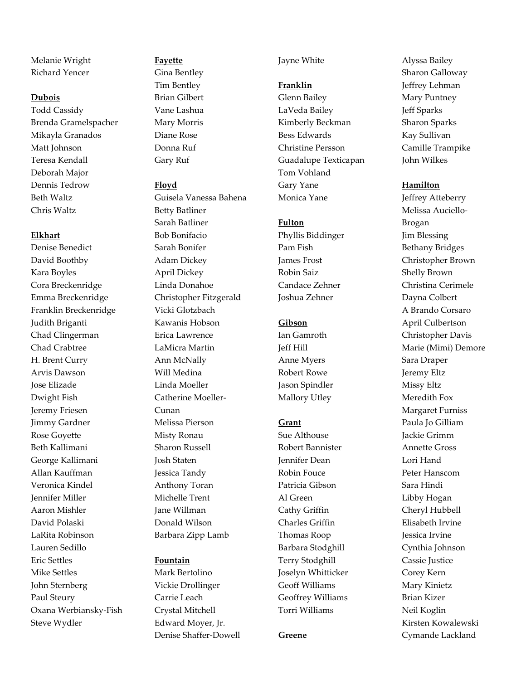Melanie Wright Richard Yencer

### **Dubois**

Todd Cassidy Brenda Gramelspacher Mikayla Granados Matt Johnson Teresa Kendall Deborah Major Dennis Tedrow Beth Waltz Chris Waltz

### **Elkhart**

Denise Benedict David Boothby Kara Boyles Cora Breckenridge Emma Breckenridge Franklin Breckenridge Judith Briganti Chad Clingerman Chad Crabtree H. Brent Curry Arvis Dawson Jose Elizade Dwight Fish Jeremy Friesen Jimmy Gardner Rose Goyette Beth Kallimani George Kallimani Allan Kauffman Veronica Kindel Jennifer Miller Aaron Mishler David Polaski LaRita Robinson Lauren Sedillo Eric Settles Mike Settles John Sternberg Paul Steury Oxana Werbiansky-Fish Steve Wydler

# **Fayette** Gina Bentley Tim Bentley Brian Gilbert Vane Lashua Mary Morris Diane Rose Donna Ruf

# **Floyd**

Gary Ruf

Guisela Vanessa Bahena Betty Batliner Sarah Batliner Bob Bonifacio Sarah Bonifer Adam Dickey April Dickey Linda Donahoe Christopher Fitzgerald Vicki Glotzbach Kawanis Hobson Erica Lawrence LaMicra Martin Ann McNally Will Medina Linda Moeller Catherine Moeller-Cunan Melissa Pierson Misty Ronau Sharon Russell Josh Staten Jessica Tandy Anthony Toran Michelle Trent Jane Willman Donald Wilson Barbara Zipp Lamb

### **Fountain**

Mark Bertolino Vickie Drollinger Carrie Leach Crystal Mitchell Edward Moyer, Jr. Denise Shaffer-Dowell

### Jayne White

#### **Franklin**

Glenn Bailey LaVeda Bailey Kimberly Beckman Bess Edwards Christine Persson Guadalupe Texticapan Tom Vohland Gary Yane Monica Yane

### **Fulton**

Phyllis Biddinger Pam Fish James Frost Robin Saiz Candace Zehner Joshua Zehner

### **Gibson**

Ian Gamroth Jeff Hill Anne Myers Robert Rowe Jason Spindler Mallory Utley

### **Grant**

Sue Althouse Robert Bannister Jennifer Dean Robin Fouce Patricia Gibson Al Green Cathy Griffin Charles Griffin Thomas Roop Barbara Stodghill Terry Stodghill Joselyn Whitticker Geoff Williams Geoffrey Williams Torri Williams

**Greene**

Alyssa Bailey Sharon Galloway Jeffrey Lehman Mary Puntney Jeff Sparks Sharon Sparks Kay Sullivan Camille Trampike John Wilkes

#### **Hamilton**

Jeffrey Atteberry Melissa Auciello-Brogan Jim Blessing Bethany Bridges Christopher Brown Shelly Brown Christina Cerimele Dayna Colbert A Brando Corsaro April Culbertson Christopher Davis Marie (Mimi) Demore Sara Draper Jeremy Eltz Missy Eltz Meredith Fox Margaret Furniss Paula Jo Gilliam Jackie Grimm Annette Gross Lori Hand Peter Hanscom Sara Hindi Libby Hogan Cheryl Hubbell Elisabeth Irvine Jessica Irvine Cynthia Johnson Cassie Justice Corey Kern Mary Kinietz Brian Kizer Neil Koglin Kirsten Kowalewski Cymande Lackland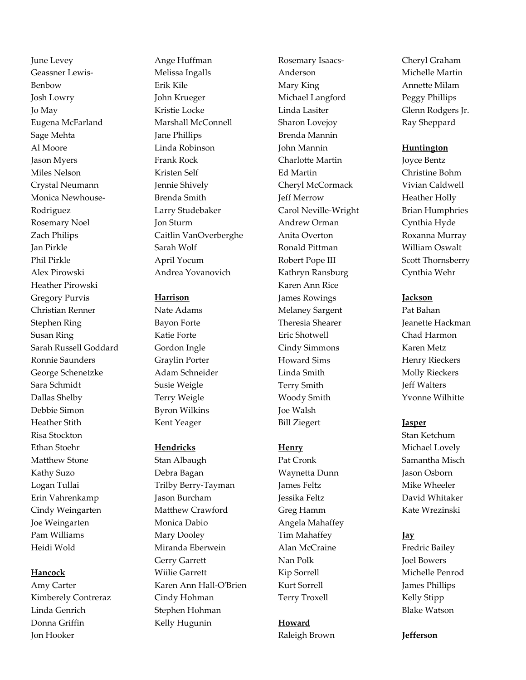June Levey Geassner Lewis-Benbow Josh Lowry Jo May Eugena McFarland Sage Mehta Al Moore Jason Myers Miles Nelson Crystal Neumann Monica Newhouse-Rodriguez Rosemary Noel Zach Philips Jan Pirkle Phil Pirkle Alex Pirowski Heather Pirowski Gregory Purvis Christian Renner Stephen Ring Susan Ring Sarah Russell Goddard Ronnie Saunders George Schenetzke Sara Schmidt Dallas Shelby Debbie Simon Heather Stith Risa Stockton Ethan Stoehr Matthew Stone Kathy Suzo Logan Tullai Erin Vahrenkamp Cindy Weingarten Joe Weingarten Pam Williams Heidi Wold

# **Hancock**

Amy Carter Kimberely Contreraz Linda Genrich Donna Griffin Jon Hooker

Ange Huffman Melissa Ingalls Erik Kile John Krueger Kristie Locke Marshall McConnell Jane Phillips Linda Robinson Frank Rock Kristen Self Jennie Shively Brenda Smith Larry Studebaker Jon Sturm Caitlin VanOverberghe Sarah Wolf April Yocum Andrea Yovanovich

# **Harrison**

Nate Adams Bayon Forte Katie Forte Gordon Ingle Graylin Porter Adam Schneider Susie Weigle Terry Weigle Byron Wilkins Kent Yeager

# **Hendricks**

Stan Albaugh Debra Bagan Trilby Berry-Tayman Jason Burcham Matthew Crawford Monica Dabio Mary Dooley Miranda Eberwein Gerry Garrett Wiilie Garrett Karen Ann Hall-O'Brien Cindy Hohman Stephen Hohman Kelly Hugunin

Rosemary Isaacs-Anderson Mary King Michael Langford Linda Lasiter Sharon Lovejoy Brenda Mannin John Mannin Charlotte Martin Ed Martin Cheryl McCormack Jeff Merrow Carol Neville-Wright Andrew Orman Anita Overton Ronald Pittman Robert Pope III Kathryn Ransburg Karen Ann Rice James Rowings Melaney Sargent Theresia Shearer Eric Shotwell Cindy Simmons Howard Sims Linda Smith Terry Smith Woody Smith Joe Walsh Bill Ziegert

# **Henry**

Pat Cronk Waynetta Dunn James Feltz Jessika Feltz Greg Hamm Angela Mahaffey Tim Mahaffey Alan McCraine Nan Polk Kip Sorrell Kurt Sorrell Terry Troxell

**Howard** Raleigh Brown Cheryl Graham Michelle Martin Annette Milam Peggy Phillips Glenn Rodgers Jr. Ray Sheppard

# **Huntington**

Joyce Bentz Christine Bohm Vivian Caldwell Heather Holly Brian Humphries Cynthia Hyde Roxanna Murray William Oswalt Scott Thornsberry Cynthia Wehr

# **Jackson**

Pat Bahan Jeanette Hackman Chad Harmon Karen Metz Henry Rieckers Molly Rieckers Jeff Walters Yvonne Wilhitte

# **Jasper**

Stan Ketchum Michael Lovely Samantha Misch Jason Osborn Mike Wheeler David Whitaker Kate Wrezinski

# **Jay**

Fredric Bailey Joel Bowers Michelle Penrod James Phillips Kelly Stipp Blake Watson

**Jefferson**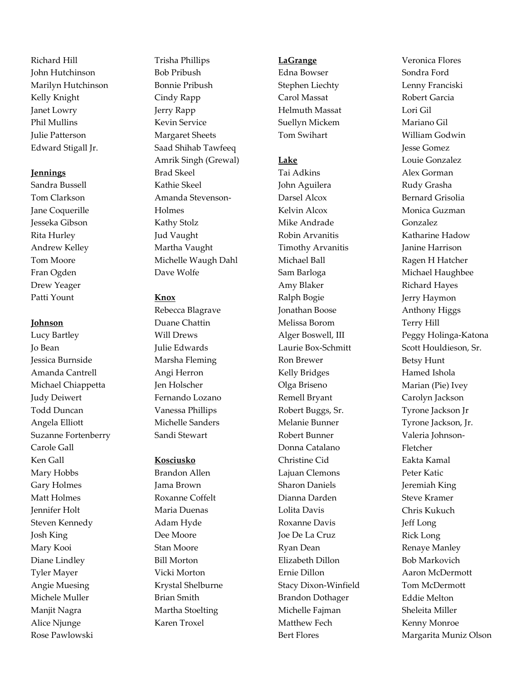Richard Hill John Hutchinson Marilyn Hutchinson Kelly Knight Janet Lowry Phil Mullins Julie Patterson Edward Stigall Jr.

#### **Jennings**

Sandra Bussell Tom Clarkson Jane Coquerille Jesseka Gibson Rita Hurley Andrew Kelley Tom Moore Fran Ogden Drew Yeager Patti Yount

### **Johnson**

Lucy Bartley Jo Bean Jessica Burnside Amanda Cantrell Michael Chiappetta Judy Deiwert Todd Duncan Angela Elliott Suzanne Fortenberry Carole Gall Ken Gall Mary Hobbs Gary Holmes Matt Holmes Jennifer Holt Steven Kennedy Josh King Mary Kooi Diane Lindley Tyler Mayer Angie Muesing Michele Muller Manjit Nagra Alice Njunge Rose Pawlowski

Trisha Phillips Bob Pribush Bonnie Pribush Cindy Rapp Jerry Rapp Kevin Service Margaret Sheets Saad Shihab Tawfeeq Amrik Singh (Grewal) Brad Skeel Kathie Skeel Amanda Stevenson-Holmes Kathy Stolz Jud Vaught Martha Vaught Michelle Waugh Dahl Dave Wolfe

### **Knox**

Rebecca Blagrave Duane Chattin Will Drews Julie Edwards Marsha Fleming Angi Herron Jen Holscher Fernando Lozano Vanessa Phillips Michelle Sanders Sandi Stewart

### **Kosciusko**

Brandon Allen Jama Brown Roxanne Coffelt Maria Duenas Adam Hyde Dee Moore Stan Moore Bill Morton Vicki Morton Krystal Shelburne Brian Smith Martha Stoelting Karen Troxel

#### **LaGrange**

Edna Bowser Stephen Liechty Carol Massat Helmuth Massat Suellyn Mickem Tom Swihart

# **Lake**

Tai Adkins John Aguilera Darsel Alcox Kelvin Alcox Mike Andrade Robin Arvanitis Timothy Arvanitis Michael Ball Sam Barloga Amy Blaker Ralph Bogie Jonathan Boose Melissa Borom Alger Boswell, III Laurie Box-Schmitt Ron Brewer Kelly Bridges Olga Briseno Remell Bryant Robert Buggs, Sr. Melanie Bunner Robert Bunner Donna Catalano Christine Cid Lajuan Clemons Sharon Daniels Dianna Darden Lolita Davis Roxanne Davis Joe De La Cruz Ryan Dean Elizabeth Dillon Ernie Dillon Stacy Dixon-Winfield Brandon Dothager Michelle Fajman Matthew Fech Bert Flores

Veronica Flores Sondra Ford Lenny Franciski Robert Garcia Lori Gil Mariano Gil William Godwin Jesse Gomez Louie Gonzalez Alex Gorman Rudy Grasha Bernard Grisolia Monica Guzman Gonzalez Katharine Hadow Janine Harrison Ragen H Hatcher Michael Haughbee Richard Hayes Jerry Haymon Anthony Higgs Terry Hill Peggy Holinga-Katona Scott Houldieson, Sr. Betsy Hunt Hamed Ishola Marian (Pie) Ivey Carolyn Jackson Tyrone Jackson Jr Tyrone Jackson, Jr. Valeria Johnson-Fletcher Eakta Kamal Peter Katic Jeremiah King Steve Kramer Chris Kukuch Jeff Long Rick Long Renaye Manley Bob Markovich Aaron McDermott Tom McDermott Eddie Melton Sheleita Miller Kenny Monroe Margarita Muniz Olson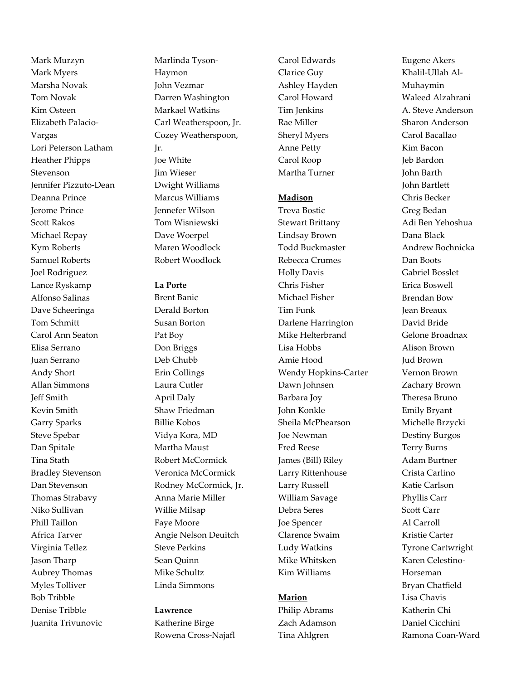Mark Murzyn Mark Myers Marsha Novak Tom Novak Kim Osteen Elizabeth Palacio-Vargas Lori Peterson Latham Heather Phipps Stevenson Jennifer Pizzuto-Dean Deanna Prince Jerome Prince Scott Rakos Michael Repay Kym Roberts Samuel Roberts Joel Rodriguez Lance Ryskamp Alfonso Salinas Dave Scheeringa Tom Schmitt Carol Ann Seaton Elisa Serrano Juan Serrano Andy Short Allan Simmons Jeff Smith Kevin Smith Garry Sparks Steve Spebar Dan Spitale Tina Stath Bradley Stevenson Dan Stevenson Thomas Strabavy Niko Sullivan Phill Taillon Africa Tarver Virginia Tellez Jason Tharp Aubrey Thomas Myles Tolliver Bob Tribble Denise Tribble Juanita Trivunovic

Marlinda Tyson-Haymon John Vezmar Darren Washington Markael Watkins Carl Weatherspoon, Jr. Cozey Weatherspoon, Jr. Joe White Jim Wieser Dwight Williams Marcus Williams Jennefer Wilson Tom Wisniewski Dave Woerpel Maren Woodlock Robert Woodlock

### **La Porte**

Brent Banic Derald Borton Susan Borton Pat Boy Don Briggs Deb Chubb Erin Collings Laura Cutler April Daly Shaw Friedman Billie Kobos Vidya Kora, MD Martha Maust Robert McCormick Veronica McCormick Rodney McCormick, Jr. Anna Marie Miller Willie Milsap Faye Moore Angie Nelson Deuitch Steve Perkins Sean Quinn Mike Schultz Linda Simmons

### **Lawrence**

Katherine Birge Rowena Cross-Najafl

Carol Edwards Clarice Guy Ashley Hayden Carol Howard Tim Jenkins Rae Miller Sheryl Myers Anne Petty Carol Roop Martha Turner

### **Madison**

Treva Bostic Stewart Brittany Lindsay Brown Todd Buckmaster Rebecca Crumes Holly Davis Chris Fisher Michael Fisher Tim Funk Darlene Harrington Mike Helterbrand Lisa Hobbs Amie Hood Wendy Hopkins-Carter Dawn Johnsen Barbara Joy John Konkle Sheila McPhearson Joe Newman Fred Reese James (Bill) Riley Larry Rittenhouse Larry Russell William Savage Debra Seres Joe Spencer Clarence Swaim Ludy Watkins Mike Whitsken Kim Williams

# **Marion**

Philip Abrams Zach Adamson Tina Ahlgren

Eugene Akers Khalil-Ullah Al-Muhaymin Waleed Alzahrani A. Steve Anderson Sharon Anderson Carol Bacallao Kim Bacon Jeb Bardon John Barth John Bartlett Chris Becker Greg Bedan Adi Ben Yehoshua Dana Black Andrew Bochnicka Dan Boots Gabriel Bosslet Erica Boswell Brendan Bow Jean Breaux David Bride Gelone Broadnax Alison Brown Jud Brown Vernon Brown Zachary Brown Theresa Bruno Emily Bryant Michelle Brzycki Destiny Burgos Terry Burns Adam Burtner Crista Carlino Katie Carlson Phyllis Carr Scott Carr Al Carroll Kristie Carter Tyrone Cartwright Karen Celestino-Horseman Bryan Chatfield Lisa Chavis Katherin Chi Daniel Cicchini Ramona Coan-Ward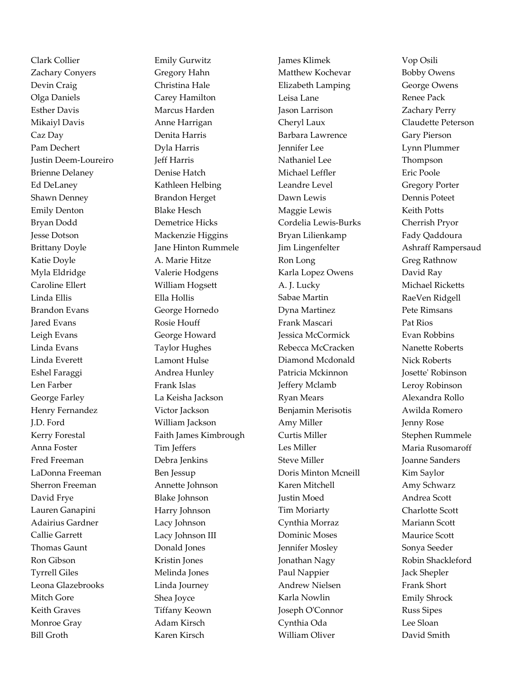Clark Collier Zachary Conyers Devin Craig Olga Daniels Esther Davis Mikaiyl Davis Caz Day Pam Dechert Justin Deem-Loureiro Brienne Delaney Ed DeLaney Shawn Denney Emily Denton Bryan Dodd Jesse Dotson Brittany Doyle Katie Doyle Myla Eldridge Caroline Ellert Linda Ellis Brandon Evans Jared Evans Leigh Evans Linda Evans Linda Everett Eshel Faraggi Len Farber George Farley Henry Fernandez J.D. Ford Kerry Forestal Anna Foster Fred Freeman LaDonna Freeman Sherron Freeman David Frye Lauren Ganapini Adairius Gardner Callie Garrett Thomas Gaunt Ron Gibson Tyrrell Giles Leona Glazebrooks Mitch Gore Keith Graves Monroe Gray Bill Groth

Emily Gurwitz Gregory Hahn Christina Hale Carey Hamilton Marcus Harden Anne Harrigan Denita Harris Dyla Harris Jeff Harris Denise Hatch Kathleen Helbing Brandon Herget Blake Hesch Demetrice Hicks Mackenzie Higgins Jane Hinton Rummele A. Marie Hitze Valerie Hodgens William Hogsett Ella Hollis George Hornedo Rosie Houff George Howard Taylor Hughes Lamont Hulse Andrea Hunley Frank Islas La Keisha Jackson Victor Jackson William Jackson Faith James Kimbrough Tim Jeffers Debra Jenkins Ben Jessup Annette Johnson Blake Johnson Harry Johnson Lacy Johnson Lacy Johnson III Donald Jones Kristin Jones Melinda Jones Linda Journey Shea Joyce Tiffany Keown Adam Kirsch Karen Kirsch

James Klimek Matthew Kochevar Elizabeth Lamping Leisa Lane Jason Larrison Cheryl Laux Barbara Lawrence Jennifer Lee Nathaniel Lee Michael Leffler Leandre Level Dawn Lewis Maggie Lewis Cordelia Lewis-Burks Bryan Lilienkamp Jim Lingenfelter Ron Long Karla Lopez Owens A. J. Lucky Sabae Martin Dyna Martinez Frank Mascari Jessica McCormick Rebecca McCracken Diamond Mcdonald Patricia Mckinnon Jeffery Mclamb Ryan Mears Benjamin Merisotis Amy Miller Curtis Miller Les Miller Steve Miller Doris Minton Mcneill Karen Mitchell Justin Moed Tim Moriarty Cynthia Morraz Dominic Moses Jennifer Mosley Jonathan Nagy Paul Nappier Andrew Nielsen Karla Nowlin Joseph O'Connor Cynthia Oda William Oliver

Vop Osili Bobby Owens George Owens Renee Pack Zachary Perry Claudette Peterson Gary Pierson Lynn Plummer Thompson Eric Poole Gregory Porter Dennis Poteet Keith Potts Cherrish Pryor Fady Qaddoura Ashraff Rampersaud Greg Rathnow David Ray Michael Ricketts RaeVen Ridgell Pete Rimsans Pat Rios Evan Robbins Nanette Roberts Nick Roberts Josette' Robinson Leroy Robinson Alexandra Rollo Awilda Romero Jenny Rose Stephen Rummele Maria Rusomaroff Joanne Sanders Kim Saylor Amy Schwarz Andrea Scott Charlotte Scott Mariann Scott Maurice Scott Sonya Seeder Robin Shackleford Jack Shepler Frank Short Emily Shrock Russ Sipes Lee Sloan David Smith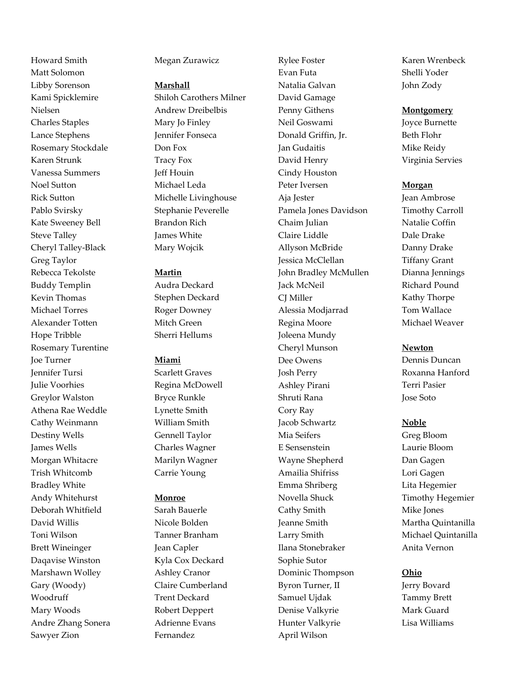Howard Smith Matt Solomon Libby Sorenson Kami Spicklemire Nielsen Charles Staples Lance Stephens Rosemary Stockdale Karen Strunk Vanessa Summers Noel Sutton Rick Sutton Pablo Svirsky Kate Sweeney Bell Steve Talley Cheryl Talley-Black Greg Taylor Rebecca Tekolste Buddy Templin Kevin Thomas Michael Torres Alexander Totten Hope Tribble Rosemary Turentine Joe Turner Jennifer Tursi Julie Voorhies Greylor Walston Athena Rae Weddle Cathy Weinmann Destiny Wells James Wells Morgan Whitacre Trish Whitcomb Bradley White Andy Whitehurst Deborah Whitfield David Willis Toni Wilson Brett Wineinger Daqavise Winston Marshawn Wolley Gary (Woody) Woodruff Mary Woods Andre Zhang Sonera Sawyer Zion

### Megan Zurawicz

#### **Marshall**

Shiloh Carothers Milner Andrew Dreibelbis Mary Jo Finley Jennifer Fonseca Don Fox Tracy Fox Jeff Houin Michael Leda Michelle Livinghouse Stephanie Peverelle Brandon Rich James White Mary Wojcik

#### **Martin**

Audra Deckard Stephen Deckard Roger Downey Mitch Green Sherri Hellums

#### **Miami**

Scarlett Graves Regina McDowell Bryce Runkle Lynette Smith William Smith Gennell Taylor Charles Wagner Marilyn Wagner Carrie Young

#### **Monroe**

Sarah Bauerle Nicole Bolden Tanner Branham Jean Capler Kyla Cox Deckard Ashley Cranor Claire Cumberland Trent Deckard Robert Deppert Adrienne Evans Fernandez

Rylee Foster Evan Futa Natalia Galvan David Gamage Penny Githens Neil Goswami Donald Griffin, Jr. Jan Gudaitis David Henry Cindy Houston Peter Iversen Aja Jester Pamela Jones Davidson Chaim Julian Claire Liddle Allyson McBride Jessica McClellan John Bradley McMullen Jack McNeil CJ Miller Alessia Modjarrad Regina Moore Joleena Mundy Cheryl Munson Dee Owens Josh Perry Ashley Pirani Shruti Rana Cory Ray Jacob Schwartz Mia Seifers E Sensenstein Wayne Shepherd Amailia Shifriss Emma Shriberg Novella Shuck Cathy Smith Jeanne Smith Larry Smith Ilana Stonebraker Sophie Sutor Dominic Thompson Byron Turner, II Samuel Ujdak Denise Valkyrie Hunter Valkyrie April Wilson

Karen Wrenbeck Shelli Yoder John Zody

#### **Montgomery**

Joyce Burnette Beth Flohr Mike Reidy Virginia Servies

#### **Morgan**

Jean Ambrose Timothy Carroll Natalie Coffin Dale Drake Danny Drake Tiffany Grant Dianna Jennings Richard Pound Kathy Thorpe Tom Wallace Michael Weaver

#### **Newton**

Dennis Duncan Roxanna Hanford Terri Pasier Jose Soto

#### **Noble**

Greg Bloom Laurie Bloom Dan Gagen Lori Gagen Lita Hegemier Timothy Hegemier Mike Jones Martha Quintanilla Michael Quintanilla Anita Vernon

#### **Ohio**

Jerry Bovard Tammy Brett Mark Guard Lisa Williams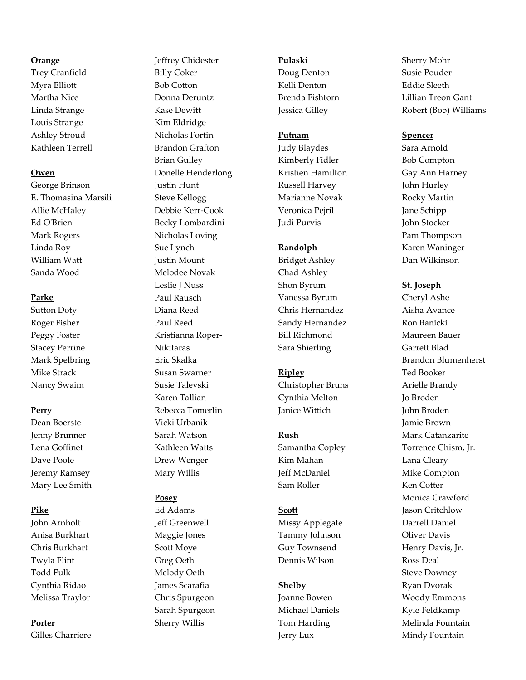### **Orange**

Trey Cranfield Myra Elliott Martha Nice Linda Strange Louis Strange Ashley Stroud Kathleen Terrell

### **Owen**

George Brinson E. Thomasina Marsili Allie McHaley Ed O'Brien Mark Rogers Linda Roy William Watt Sanda Wood

# **Parke**

Sutton Doty Roger Fisher Peggy Foster Stacey Perrine Mark Spelbring Mike Strack Nancy Swaim

# **Perry**

Dean Boerste Jenny Brunner Lena Goffinet Dave Poole Jeremy Ramsey Mary Lee Smith

# **Pike**

John Arnholt Anisa Burkhart Chris Burkhart Twyla Flint Todd Fulk Cynthia Ridao Melissa Traylor

#### **Porter**

Gilles Charriere

Jeffrey Chidester Billy Coker Bob Cotton Donna Deruntz Kase Dewitt Kim Eldridge Nicholas Fortin Brandon Grafton Brian Gulley Donelle Henderlong Justin Hunt Steve Kellogg Debbie Kerr-Cook Becky Lombardini Nicholas Loving Sue Lynch Justin Mount Melodee Novak Leslie J Nuss Paul Rausch Diana Reed Paul Reed Kristianna Roper-Nikitaras Eric Skalka Susan Swarner Susie Talevski Karen Tallian Rebecca Tomerlin Vicki Urbanik Sarah Watson Kathleen Watts Drew Wenger Mary Willis

# **Posey**

Ed Adams Jeff Greenwell Maggie Jones Scott Moye Greg Oeth Melody Oeth James Scarafia Chris Spurgeon Sarah Spurgeon Sherry Willis

# **Pulaski**

Doug Denton Kelli Denton Brenda Fishtorn Jessica Gilley

# **Putnam**

Judy Blaydes Kimberly Fidler Kristien Hamilton Russell Harvey Marianne Novak Veronica Pejril Judi Purvis

# **Randolph**

Bridget Ashley Chad Ashley Shon Byrum Vanessa Byrum Chris Hernandez Sandy Hernandez Bill Richmond Sara Shierling

# **Ripley**

Christopher Bruns Cynthia Melton Janice Wittich

# **Rush**

Samantha Copley Kim Mahan Jeff McDaniel Sam Roller

# **Scott**

Missy Applegate Tammy Johnson Guy Townsend Dennis Wilson

# **Shelby**

Joanne Bowen Michael Daniels Tom Harding Jerry Lux

Sherry Mohr Susie Pouder Eddie Sleeth Lillian Treon Gant Robert (Bob) Williams

### **Spencer**

Sara Arnold Bob Compton Gay Ann Harney John Hurley Rocky Martin Jane Schipp John Stocker Pam Thompson Karen Waninger Dan Wilkinson

### **St. Joseph**

Cheryl Ashe Aisha Avance Ron Banicki Maureen Bauer Garrett Blad Brandon Blumenherst Ted Booker Arielle Brandy Jo Broden John Broden Jamie Brown Mark Catanzarite Torrence Chism, Jr. Lana Cleary Mike Compton Ken Cotter Monica Crawford Jason Critchlow Darrell Daniel Oliver Davis Henry Davis, Jr. Ross Deal Steve Downey Ryan Dvorak Woody Emmons Kyle Feldkamp Melinda Fountain Mindy Fountain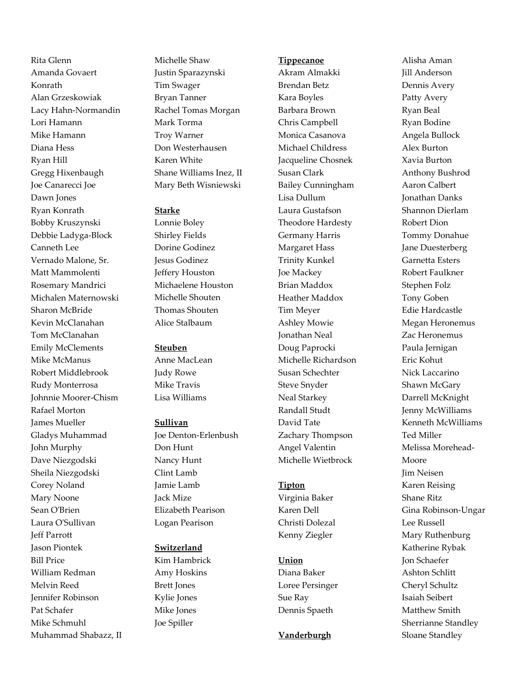Rita Glenn Amanda Govaert Konrath Alan Grzeskowiak Lacy Hahn-Normandin Lori Hamann Mike Hamann Diana Hess Ryan Hill Gregg Hixenbaugh Joe Canarecci Joe Dawn Jones Ryan Konrath Bobby Kruszynski Debbie Ladyga-Block Canneth Lee Vernado Malone, Sr. Matt Mammolenti Rosemary Mandrici Michalen Maternowski Sharon McBride Kevin McClanahan Tom McClanahan Emily McClements Mike McManus Robert Middlebrook Rudy Monterrosa Johnnie Moorer-Chism Rafael Morton James Mueller Gladys Muhammad John Murphy Dave Niezgodski Sheila Niezgodski Corey Noland Mary Noone Sean O'Brien Laura O'Sullivan Jeff Parrott Jason Piontek Bill Price William Redman Melvin Reed Jennifer Robinson Pat Schafer Mike Schmuhl Muhammad Shabazz, II Michelle Shaw Justin Sparazynski Tim Swager Bryan Tanner Rachel Tomas Morgan Mark Torma Troy Warner Don Westerhausen Karen White Shane Williams Inez, II Mary Beth Wisniewski

### **Starke**

Lonnie Boley Shirley Fields Dorine Godinez Jesus Godinez Jeffery Houston Michaelene Houston Michelle Shouten Thomas Shouten Alice Stalbaum

### **Steuben**

Anne MacLean Judy Rowe Mike Travis Lisa Williams

#### **Sullivan**

Joe Denton-Erlenbush Don Hunt Nancy Hunt Clint Lamb Jamie Lamb Jack Mize Elizabeth Pearison Logan Pearison

# **Switzerland**

Kim Hambrick Amy Hoskins Brett Jones Kylie Jones Mike Jones Joe Spiller

#### **Tippecanoe**

Akram Almakki Brendan Betz Kara Boyles Barbara Brown Chris Campbell Monica Casanova Michael Childress Jacqueline Chosnek Susan Clark Bailey Cunningham Lisa Dullum Laura Gustafson Theodore Hardesty Germany Harris Margaret Hass Trinity Kunkel Joe Mackey Brian Maddox Heather Maddox Tim Meyer Ashley Mowie Jonathan Neal Doug Paprocki Michelle Richardson Susan Schechter Steve Snyder Neal Starkey Randall Studt David Tate Zachary Thompson Angel Valentin Michelle Wietbrock

### **Tipton**

Virginia Baker Karen Dell Christi Dolezal Kenny Ziegler

### **Union**

Diana Baker Loree Persinger Sue Ray Dennis Spaeth

#### **Vanderburgh**

Alisha Aman Jill Anderson Dennis Avery Patty Avery Ryan Beal Ryan Bodine Angela Bullock Alex Burton Xavia Burton Anthony Bushrod Aaron Calbert Jonathan Danks Shannon Dierlam Robert Dion Tommy Donahue Jane Duesterberg Garnetta Esters Robert Faulkner Stephen Folz Tony Goben Edie Hardcastle Megan Heronemus Zac Heronemus Paula Jernigan Eric Kohut Nick Laccarino Shawn McGary Darrell McKnight Jenny McWilliams Kenneth McWilliams Ted Miller Melissa Morehead-Moore Jim Neisen Karen Reising Shane Ritz Gina Robinson-Ungar Lee Russell Mary Ruthenburg Katherine Rybak Jon Schaefer Ashton Schlitt Cheryl Schultz Isaiah Seibert Matthew Smith Sherrianne Standley Sloane Standley